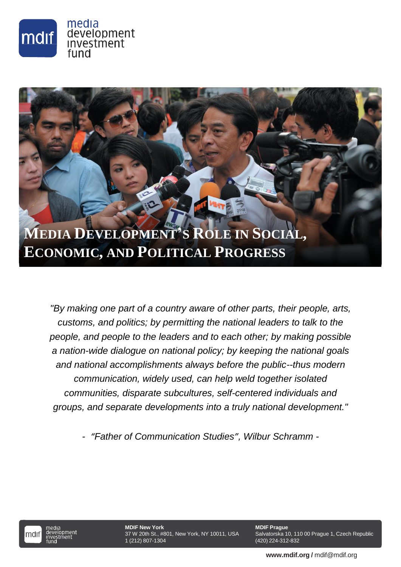

# **MEDIA DEVELOPMENT'S ROLE IN SOCIAL, ECONOMIC, AND POLITICAL PROGRESS**

*"By making one part of a country aware of other parts, their people, arts, customs, and politics; by permitting the national leaders to talk to the people, and people to the leaders and to each other; by making possible a nation-wide dialogue on national policy; by keeping the national goals and national accomplishments always before the public--thus modern communication, widely used, can help weld together isolated communities, disparate subcultures, self-centered individuals and groups, and separate developments into a truly national development."*

*- "Father of Communication Studies", Wilbur Schramm -*



pmen<mark>t</mark><br>ment

**MDIF New York** 1 (212) 807-1304

1 37 W 20th St., #801, New York, NY 10011, USA

**MDIF Prague** Salvatorska 10, 110 00 Prague 1, Czech Republic (420) 224-312-832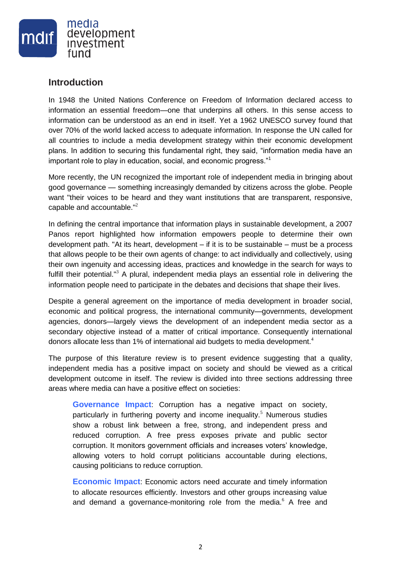

## **Introduction**

In 1948 the United Nations Conference on Freedom of Information declared access to information an essential freedom—one that underpins all others. In this sense access to information can be understood as an end in itself. Yet a 1962 UNESCO survey found that over 70% of the world lacked access to adequate information. In response the UN called for all countries to include a media development strategy within their economic development plans. In addition to securing this fundamental right, they said, "information media have an important role to play in education, social, and economic progress."<sup>1</sup>

More recently, the UN recognized the important role of independent media in bringing about good governance — something increasingly demanded by citizens across the globe. People want "their voices to be heard and they want institutions that are transparent, responsive, capable and accountable."<sup>2</sup>

In defining the central importance that information plays in sustainable development, a 2007 Panos report highlighted how information empowers people to determine their own development path. "At its heart, development  $-$  if it is to be sustainable  $-$  must be a process that allows people to be their own agents of change: to act individually and collectively, using their own ingenuity and accessing ideas, practices and knowledge in the search for ways to fulfill their potential."<sup>3</sup> A plural, independent media plays an essential role in delivering the information people need to participate in the debates and decisions that shape their lives.

Despite a general agreement on the importance of media development in broader social, economic and political progress, the international community—governments, development agencies, donors—largely views the development of an independent media sector as a secondary objective instead of a matter of critical importance. Consequently international donors allocate less than 1% of international aid budgets to media development.<sup>4</sup>

The purpose of this literature review is to present evidence suggesting that a quality, independent media has a positive impact on society and should be viewed as a critical development outcome in itself. The review is divided into three sections addressing three areas where media can have a positive effect on societies:

**Governance Impact**: Corruption has a negative impact on society, particularly in furthering poverty and income inequality.<sup>5</sup> Numerous studies show a robust link between a free, strong, and independent press and reduced corruption. A free press exposes private and public sector corruption. It monitors government officials and increases voters' knowledge, allowing voters to hold corrupt politicians accountable during elections, causing politicians to reduce corruption.

**Economic Impact**: Economic actors need accurate and timely information to allocate resources efficiently. Investors and other groups increasing value and demand a governance-monitoring role from the media.<sup>6</sup> A free and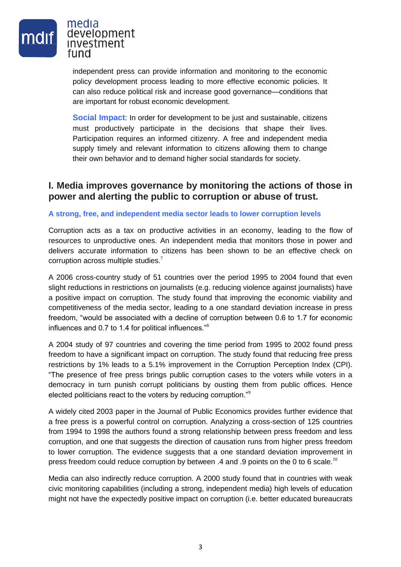

independent press can provide information and monitoring to the economic policy development process leading to more effective economic policies. It can also reduce political risk and increase good governance—conditions that are important for robust economic development.

**Social Impact**: In order for development to be just and sustainable, citizens must productively participate in the decisions that shape their lives. Participation requires an informed citizenry. A free and independent media supply timely and relevant information to citizens allowing them to change their own behavior and to demand higher social standards for society.

## **I. Media improves governance by monitoring the actions of those in power and alerting the public to corruption or abuse of trust.**

#### **A strong, free, and independent media sector leads to lower corruption levels**

Corruption acts as a tax on productive activities in an economy, leading to the flow of resources to unproductive ones. An independent media that monitors those in power and delivers accurate information to citizens has been shown to be an effective check on corruption across multiple studies.<sup>7</sup>

A 2006 cross-country study of 51 countries over the period 1995 to 2004 found that even slight reductions in restrictions on journalists (e.g. reducing violence against journalists) have a positive impact on corruption. The study found that improving the economic viability and competitiveness of the media sector, leading to a one standard deviation increase in press freedom, "would be associated with a decline of corruption between 0.6 to 1.7 for economic influences and 0.7 to 1.4 for political influences."<sup>8</sup>

A 2004 study of 97 countries and covering the time period from 1995 to 2002 found press freedom to have a significant impact on corruption. The study found that reducing free press restrictions by 1% leads to a 5.1% improvement in the Corruption Perception Index (CPI). "The presence of free press brings public corruption cases to the voters while voters in a democracy in turn punish corrupt politicians by ousting them from public offices. Hence elected politicians react to the voters by reducing corruption."<sup>9</sup>

A widely cited 2003 paper in the Journal of Public Economics provides further evidence that a free press is a powerful control on corruption. Analyzing a cross-section of 125 countries from 1994 to 1998 the authors found a strong relationship between press freedom and less corruption, and one that suggests the direction of causation runs from higher press freedom to lower corruption. The evidence suggests that a one standard deviation improvement in press freedom could reduce corruption by between  $.4$  and  $.9$  points on the 0 to 6 scale.<sup>10</sup>

Media can also indirectly reduce corruption. A 2000 study found that in countries with weak civic monitoring capabilities (including a strong, independent media) high levels of education might not have the expectedly positive impact on corruption (i.e. better educated bureaucrats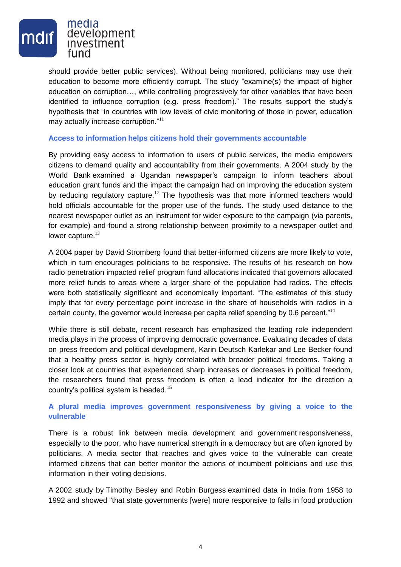

should provide better public services). Without being monitored, politicians may use their education to become more efficiently corrupt. The study "examine(s) the impact of higher education on corruption…, while controlling progressively for other variables that have been identified to influence corruption (e.g. press freedom)." The results support the study's hypothesis that "in countries with low levels of civic monitoring of those in power, education may actually increase corruption."<sup>11</sup>

#### **Access to information helps citizens hold their governments accountable**

By providing easy access to information to users of public services, the media empowers citizens to demand quality and accountability from their governments. A 2004 study by the World Bank examined a Ugandan newspaper's campaign to inform teachers about education grant funds and the impact the campaign had on improving the education system by reducing regulatory capture.<sup>12</sup> The hypothesis was that more informed teachers would hold officials accountable for the proper use of the funds. The study used distance to the nearest newspaper outlet as an instrument for wider exposure to the campaign (via parents, for example) and found a strong relationship between proximity to a newspaper outlet and lower capture. $^{13}$ 

A 2004 paper by David Stromberg found that better-informed citizens are more likely to vote, which in turn encourages politicians to be responsive. The results of his research on how radio penetration impacted relief program fund allocations indicated that governors allocated more relief funds to areas where a larger share of the population had radios. The effects were both statistically significant and economically important. "The estimates of this study imply that for every percentage point increase in the share of households with radios in a certain county, the governor would increase per capita relief spending by 0.6 percent."<sup>14</sup>

While there is still debate, recent research has emphasized the leading role independent media plays in the process of improving democratic governance. Evaluating decades of data on press freedom and political development, Karin Deutsch Karlekar and Lee Becker found that a healthy press sector is highly correlated with broader political freedoms. Taking a closer look at countries that experienced sharp increases or decreases in political freedom, the researchers found that press freedom is often a lead indicator for the direction a country's political system is headed.<sup>15</sup>

#### **A plural media improves government responsiveness by giving a voice to the vulnerable**

There is a robust link between media development and government responsiveness, especially to the poor, who have numerical strength in a democracy but are often ignored by politicians. A media sector that reaches and gives voice to the vulnerable can create informed citizens that can better monitor the actions of incumbent politicians and use this information in their voting decisions.

A 2002 study by Timothy Besley and Robin Burgess examined data in India from 1958 to 1992 and showed "that state governments [were] more responsive to falls in food production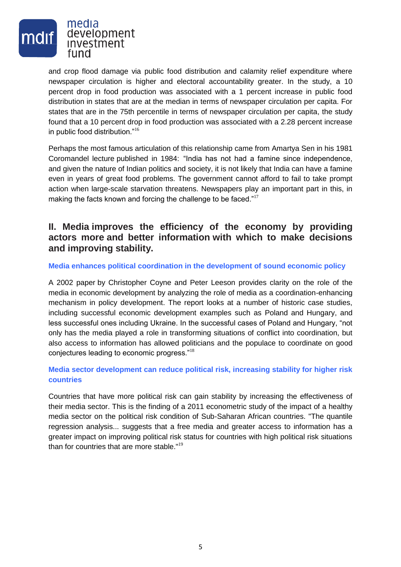

and crop flood damage via public food distribution and calamity relief expenditure where newspaper circulation is higher and electoral accountability greater. In the study, a 10 percent drop in food production was associated with a 1 percent increase in public food distribution in states that are at the median in terms of newspaper circulation per capita. For states that are in the 75th percentile in terms of newspaper circulation per capita, the study found that a 10 percent drop in food production was associated with a 2.28 percent increase in public food distribution."<sup>16</sup>

Perhaps the most famous articulation of this relationship came from Amartya Sen in his 1981 Coromandel lecture published in 1984: "India has not had a famine since independence, and given the nature of Indian politics and society, it is not likely that India can have a famine even in years of great food problems. The government cannot afford to fail to take prompt action when large-scale starvation threatens. Newspapers play an important part in this, in making the facts known and forcing the challenge to be faced."<sup>17</sup>

# **II. Media improves the efficiency of the economy by providing actors more and better information with which to make decisions and improving stability.**

#### **Media enhances political coordination in the development of sound economic policy**

A 2002 paper by Christopher Coyne and Peter Leeson provides clarity on the role of the media in economic development by analyzing the role of media as a coordination-enhancing mechanism in policy development. The report looks at a number of historic case studies, including successful economic development examples such as Poland and Hungary, and less successful ones including Ukraine. In the successful cases of Poland and Hungary, "not only has the media played a role in transforming situations of conflict into coordination, but also access to information has allowed politicians and the populace to coordinate on good conjectures leading to economic progress."<sup>18</sup>

### **Media sector development can reduce political risk, increasing stability for higher risk countries**

Countries that have more political risk can gain stability by increasing the effectiveness of their media sector. This is the finding of a 2011 econometric study of the impact of a healthy media sector on the political risk condition of Sub-Saharan African countries. "The quantile regression analysis... suggests that a free media and greater access to information has a greater impact on improving political risk status for countries with high political risk situations than for countries that are more stable."<sup>19</sup>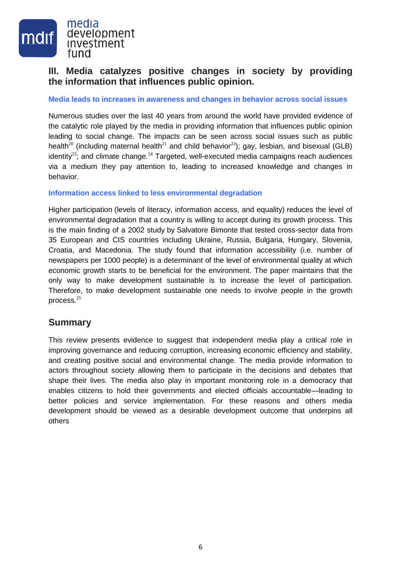

# **III. Media catalyzes positive changes in society by providing the information that influences public opinion.**

#### **Media leads to increases in awareness and changes in behavior across social issues**

Numerous studies over the last 40 years from around the world have provided evidence of the catalytic role played by the media in providing information that influences public opinion leading to social change. The impacts can be seen across social issues such as public health<sup>20</sup> (including maternal health<sup>21</sup> and child behavior<sup>22</sup>); gay, lesbian, and bisexual (GLB) identity<sup>23</sup>; and climate change.<sup>24</sup> Targeted, well-executed media campaigns reach audiences via a medium they pay attention to, leading to increased knowledge and changes in behavior.

#### **Information access linked to less environmental degradation**

Higher participation (levels of literacy, information access, and equality) reduces the level of environmental degradation that a country is willing to accept during its growth process. This is the main finding of a 2002 study by Salvatore Bimonte that tested cross-sector data from 35 European and CIS countries including Ukraine, Russia, Bulgaria, Hungary, Slovenia, Croatia, and Macedonia. The study found that information accessibility (i.e. number of newspapers per 1000 people) is a determinant of the level of environmental quality at which economic growth starts to be beneficial for the environment. The paper maintains that the only way to make development sustainable is to increase the level of participation. Therefore, to make development sustainable one needs to involve people in the growth process.<sup>25</sup>

## **Summary**

This review presents evidence to suggest that independent media play a critical role in improving governance and reducing corruption, increasing economic efficiency and stability, and creating positive social and environmental change. The media provide information to actors throughout society allowing them to participate in the decisions and debates that shape their lives. The media also play in important monitoring role in a democracy that enables citizens to hold their governments and elected officials accountable—leading to better policies and service implementation. For these reasons and others media development should be viewed as a desirable development outcome that underpins all others